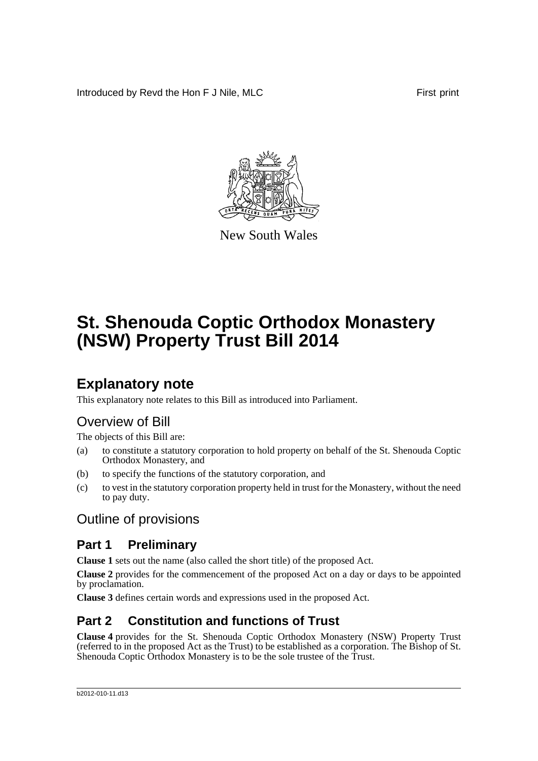Introduced by Revd the Hon F J Nile, MLC First print



New South Wales

# **St. Shenouda Coptic Orthodox Monastery (NSW) Property Trust Bill 2014**

## **Explanatory note**

This explanatory note relates to this Bill as introduced into Parliament.

## Overview of Bill

The objects of this Bill are:

- (a) to constitute a statutory corporation to hold property on behalf of the St. Shenouda Coptic Orthodox Monastery, and
- (b) to specify the functions of the statutory corporation, and
- (c) to vest in the statutory corporation property held in trust for the Monastery, without the need to pay duty.

## Outline of provisions

### **Part 1 Preliminary**

**Clause 1** sets out the name (also called the short title) of the proposed Act.

**Clause 2** provides for the commencement of the proposed Act on a day or days to be appointed by proclamation.

**Clause 3** defines certain words and expressions used in the proposed Act.

### **Part 2 Constitution and functions of Trust**

**Clause 4** provides for the St. Shenouda Coptic Orthodox Monastery (NSW) Property Trust (referred to in the proposed Act as the Trust) to be established as a corporation. The Bishop of St. Shenouda Coptic Orthodox Monastery is to be the sole trustee of the Trust.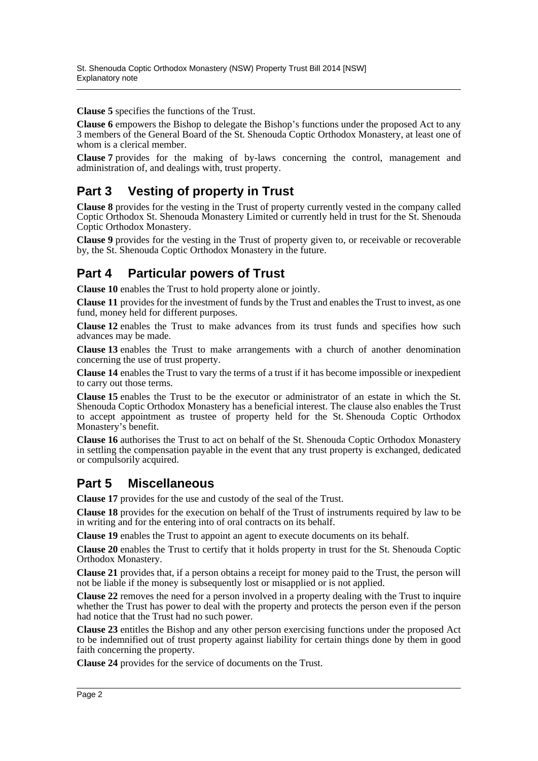**Clause 5** specifies the functions of the Trust.

**Clause 6** empowers the Bishop to delegate the Bishop's functions under the proposed Act to any 3 members of the General Board of the St. Shenouda Coptic Orthodox Monastery, at least one of whom is a clerical member.

**Clause 7** provides for the making of by-laws concerning the control, management and administration of, and dealings with, trust property.

### **Part 3 Vesting of property in Trust**

**Clause 8** provides for the vesting in the Trust of property currently vested in the company called Coptic Orthodox St. Shenouda Monastery Limited or currently held in trust for the St. Shenouda Coptic Orthodox Monastery.

**Clause 9** provides for the vesting in the Trust of property given to, or receivable or recoverable by, the St. Shenouda Coptic Orthodox Monastery in the future.

### **Part 4 Particular powers of Trust**

**Clause 10** enables the Trust to hold property alone or jointly.

**Clause 11** provides for the investment of funds by the Trust and enables the Trust to invest, as one fund, money held for different purposes.

**Clause 12** enables the Trust to make advances from its trust funds and specifies how such advances may be made.

**Clause 13** enables the Trust to make arrangements with a church of another denomination concerning the use of trust property.

**Clause 14** enables the Trust to vary the terms of a trust if it has become impossible or inexpedient to carry out those terms.

**Clause 15** enables the Trust to be the executor or administrator of an estate in which the St. Shenouda Coptic Orthodox Monastery has a beneficial interest. The clause also enables the Trust to accept appointment as trustee of property held for the St. Shenouda Coptic Orthodox Monastery's benefit.

**Clause 16** authorises the Trust to act on behalf of the St. Shenouda Coptic Orthodox Monastery in settling the compensation payable in the event that any trust property is exchanged, dedicated or compulsorily acquired.

### **Part 5 Miscellaneous**

**Clause 17** provides for the use and custody of the seal of the Trust.

**Clause 18** provides for the execution on behalf of the Trust of instruments required by law to be in writing and for the entering into of oral contracts on its behalf.

**Clause 19** enables the Trust to appoint an agent to execute documents on its behalf.

**Clause 20** enables the Trust to certify that it holds property in trust for the St. Shenouda Coptic Orthodox Monastery.

**Clause 21** provides that, if a person obtains a receipt for money paid to the Trust, the person will not be liable if the money is subsequently lost or misapplied or is not applied.

**Clause 22** removes the need for a person involved in a property dealing with the Trust to inquire whether the Trust has power to deal with the property and protects the person even if the person had notice that the Trust had no such power.

**Clause 23** entitles the Bishop and any other person exercising functions under the proposed Act to be indemnified out of trust property against liability for certain things done by them in good faith concerning the property.

**Clause 24** provides for the service of documents on the Trust.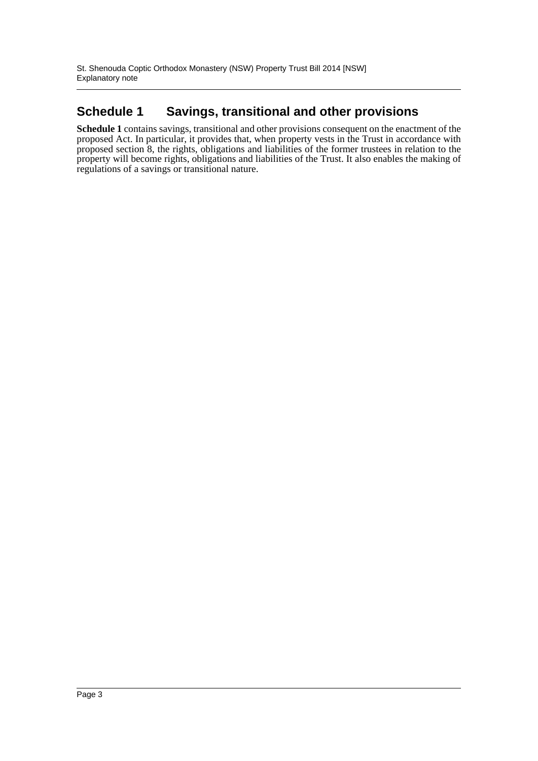### **Schedule 1 Savings, transitional and other provisions**

**Schedule 1** contains savings, transitional and other provisions consequent on the enactment of the proposed Act. In particular, it provides that, when property vests in the Trust in accordance with proposed section 8, the rights, obligations and liabilities of the former trustees in relation to the property will become rights, obligations and liabilities of the Trust. It also enables the making of regulations of a savings or transitional nature.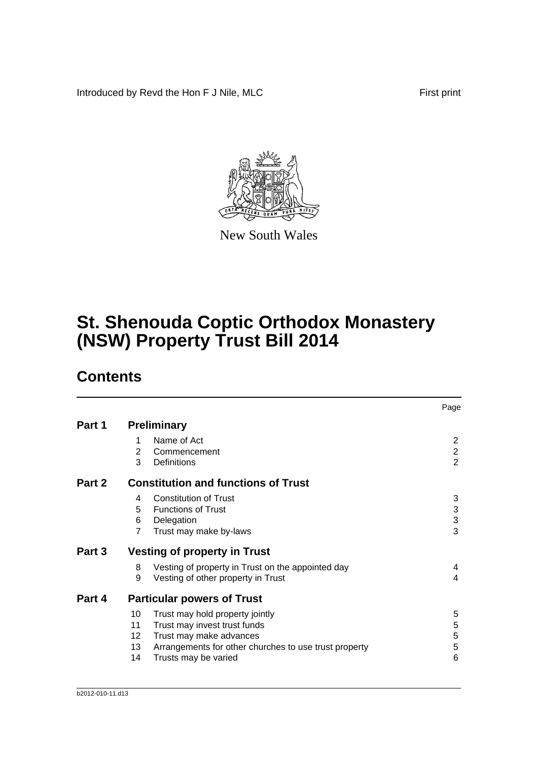Introduced by Revd the Hon F J Nile, MLC First print



New South Wales

# **St. Shenouda Coptic Orthodox Monastery (NSW) Property Trust Bill 2014**

## **Contents**

|        |                 |                                                       | Page           |
|--------|-----------------|-------------------------------------------------------|----------------|
| Part 1 |                 | <b>Preliminary</b>                                    |                |
|        | 1               | Name of Act                                           | $\overline{2}$ |
|        | 2               | Commencement                                          | $\overline{2}$ |
|        | 3               | <b>Definitions</b>                                    | $\overline{2}$ |
| Part 2 |                 | <b>Constitution and functions of Trust</b>            |                |
|        | 4               | <b>Constitution of Trust</b>                          | 3              |
|        | 5               | <b>Functions of Trust</b>                             | 3              |
|        | 6               | Delegation                                            | 3              |
|        | $\overline{7}$  | Trust may make by-laws                                | 3              |
| Part 3 |                 | <b>Vesting of property in Trust</b>                   |                |
|        | 8               | Vesting of property in Trust on the appointed day     | 4              |
|        | 9               | Vesting of other property in Trust                    | 4              |
| Part 4 |                 | <b>Particular powers of Trust</b>                     |                |
|        | 10              | Trust may hold property jointly                       | 5              |
|        | 11              | Trust may invest trust funds                          | 5              |
|        | 12 <sup>2</sup> | Trust may make advances                               | 5              |
|        | 13              | Arrangements for other churches to use trust property | 5              |
|        | 14              | Trusts may be varied                                  | 6              |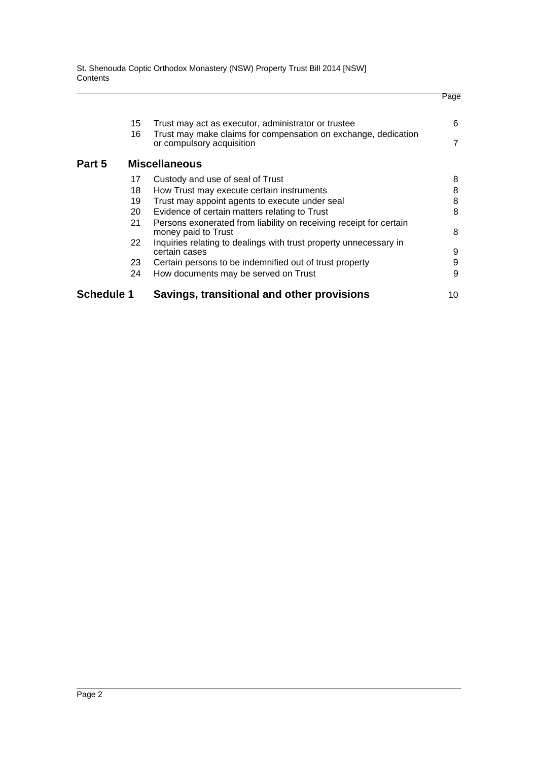St. Shenouda Coptic Orthodox Monastery (NSW) Property Trust Bill 2014 [NSW] **Contents** 

| Schedule 1 |          | Savings, transitional and other provisions                                                                            | 10 |
|------------|----------|-----------------------------------------------------------------------------------------------------------------------|----|
|            | 24       | How documents may be served on Trust                                                                                  | 9  |
|            | 23       | Certain persons to be indemnified out of trust property                                                               | 9  |
|            | 22       | Inquiries relating to dealings with trust property unnecessary in<br>certain cases                                    | 9  |
|            | 21       | Persons exonerated from liability on receiving receipt for certain<br>money paid to Trust                             | 8  |
|            | 20       | Evidence of certain matters relating to Trust                                                                         | 8  |
|            | 19       | Trust may appoint agents to execute under seal                                                                        | 8  |
|            | 18       | How Trust may execute certain instruments                                                                             | 8  |
|            | 17       | Custody and use of seal of Trust                                                                                      | 8  |
| Part 5     |          | <b>Miscellaneous</b>                                                                                                  |    |
|            |          | or compulsory acquisition                                                                                             | 7  |
|            | 15<br>16 | Trust may act as executor, administrator or trustee<br>Trust may make claims for compensation on exchange, dedication | 6  |
|            |          |                                                                                                                       |    |
|            |          |                                                                                                                       |    |

Page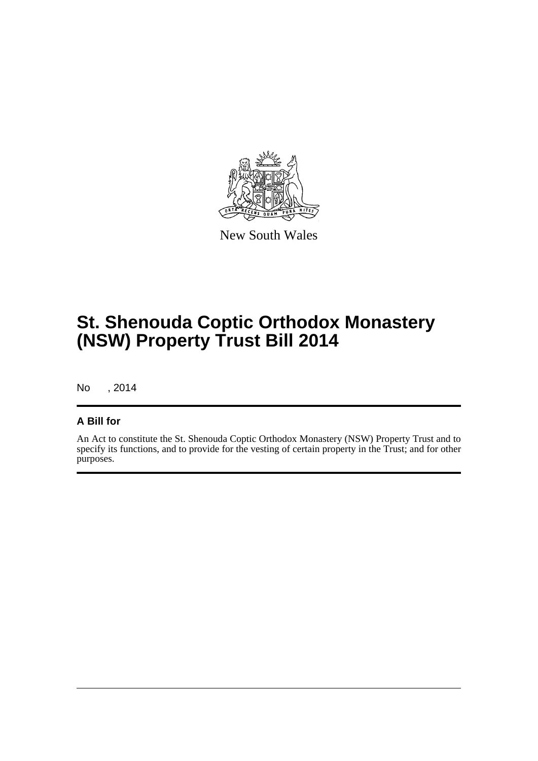

New South Wales

# **St. Shenouda Coptic Orthodox Monastery (NSW) Property Trust Bill 2014**

No , 2014

#### **A Bill for**

An Act to constitute the St. Shenouda Coptic Orthodox Monastery (NSW) Property Trust and to specify its functions, and to provide for the vesting of certain property in the Trust; and for other purposes.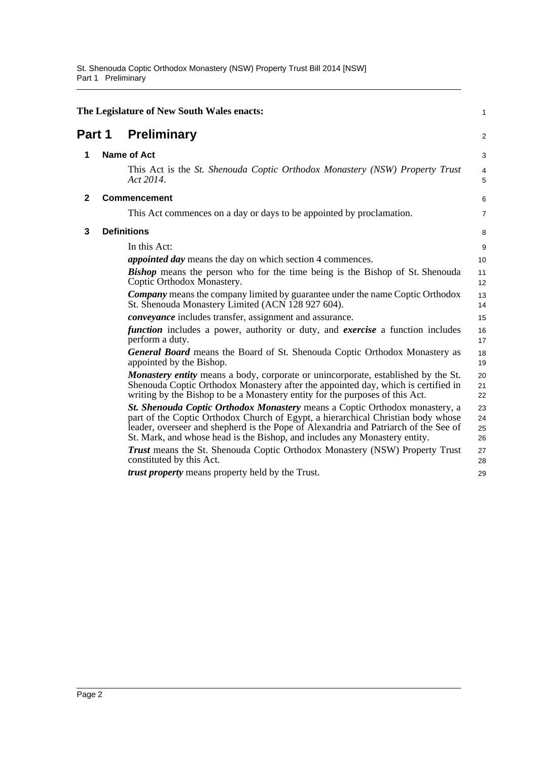<span id="page-6-3"></span><span id="page-6-2"></span><span id="page-6-1"></span><span id="page-6-0"></span>

|              | The Legislature of New South Wales enacts:<br>1 |                                                                                                                                                                                                                                                                                                                                      |                      |  |
|--------------|-------------------------------------------------|--------------------------------------------------------------------------------------------------------------------------------------------------------------------------------------------------------------------------------------------------------------------------------------------------------------------------------------|----------------------|--|
|              | <b>Preliminary</b><br>Part 1                    |                                                                                                                                                                                                                                                                                                                                      | 2                    |  |
| 1            |                                                 | <b>Name of Act</b>                                                                                                                                                                                                                                                                                                                   | 3                    |  |
|              |                                                 | This Act is the St. Shenouda Coptic Orthodox Monastery (NSW) Property Trust<br>Act 2014.                                                                                                                                                                                                                                             | 4<br>5               |  |
| $\mathbf{2}$ |                                                 | <b>Commencement</b>                                                                                                                                                                                                                                                                                                                  | 6                    |  |
|              |                                                 | This Act commences on a day or days to be appointed by proclamation.                                                                                                                                                                                                                                                                 | 7                    |  |
| 3            |                                                 | <b>Definitions</b>                                                                                                                                                                                                                                                                                                                   | 8                    |  |
|              |                                                 | In this Act:                                                                                                                                                                                                                                                                                                                         | 9                    |  |
|              |                                                 | <i>appointed day</i> means the day on which section 4 commences.                                                                                                                                                                                                                                                                     | 10                   |  |
|              |                                                 | <b>Bishop</b> means the person who for the time being is the Bishop of St. Shenouda<br>Coptic Orthodox Monastery.                                                                                                                                                                                                                    | 11<br>12             |  |
|              |                                                 | <b>Company</b> means the company limited by guarantee under the name Coptic Orthodox<br>St. Shenouda Monastery Limited (ACN 128 927 604).                                                                                                                                                                                            | 13<br>14             |  |
|              |                                                 | conveyance includes transfer, assignment and assurance.                                                                                                                                                                                                                                                                              | 15                   |  |
|              |                                                 | <i>function</i> includes a power, authority or duty, and <i>exercise</i> a function includes<br>perform a duty.                                                                                                                                                                                                                      | 16<br>17             |  |
|              |                                                 | <b>General Board</b> means the Board of St. Shenouda Coptic Orthodox Monastery as<br>appointed by the Bishop.                                                                                                                                                                                                                        | 18<br>19             |  |
|              |                                                 | <b>Monastery entity</b> means a body, corporate or unincorporate, established by the St.<br>Shenouda Coptic Orthodox Monastery after the appointed day, which is certified in<br>writing by the Bishop to be a Monastery entity for the purposes of this Act.                                                                        | 20<br>21<br>22       |  |
|              |                                                 | St. Shenouda Coptic Orthodox Monastery means a Coptic Orthodox monastery, a<br>part of the Coptic Orthodox Church of Egypt, a hierarchical Christian body whose<br>leader, overseer and shepherd is the Pope of Alexandria and Patriarch of the See of<br>St. Mark, and whose head is the Bishop, and includes any Monastery entity. | 23<br>24<br>25<br>26 |  |
|              |                                                 | <b>Trust</b> means the St. Shenouda Coptic Orthodox Monastery (NSW) Property Trust<br>constituted by this Act.                                                                                                                                                                                                                       | 27<br>28             |  |
|              |                                                 | trust property means property held by the Trust.                                                                                                                                                                                                                                                                                     | 29                   |  |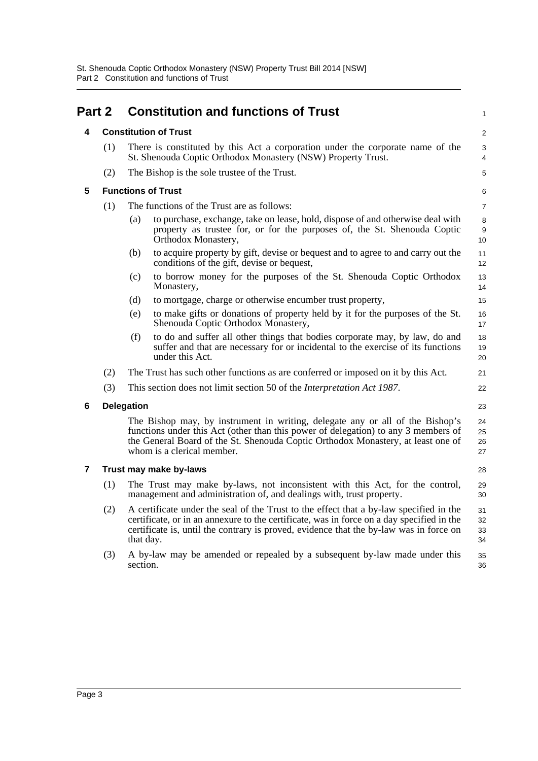<span id="page-7-4"></span><span id="page-7-3"></span><span id="page-7-2"></span><span id="page-7-1"></span><span id="page-7-0"></span>

| Part 2         |     |                   | <b>Constitution and functions of Trust</b>                                                                                                                                                                                                                                            | $\mathbf{1}$                |
|----------------|-----|-------------------|---------------------------------------------------------------------------------------------------------------------------------------------------------------------------------------------------------------------------------------------------------------------------------------|-----------------------------|
| 4              |     |                   | <b>Constitution of Trust</b>                                                                                                                                                                                                                                                          | 2                           |
|                | (1) |                   | There is constituted by this Act a corporation under the corporate name of the<br>St. Shenouda Coptic Orthodox Monastery (NSW) Property Trust.                                                                                                                                        | 3<br>$\overline{4}$         |
|                | (2) |                   | The Bishop is the sole trustee of the Trust.                                                                                                                                                                                                                                          | 5                           |
| 5              |     |                   | <b>Functions of Trust</b>                                                                                                                                                                                                                                                             | 6                           |
|                | (1) |                   | The functions of the Trust are as follows:                                                                                                                                                                                                                                            | $\overline{7}$              |
|                |     | (a)               | to purchase, exchange, take on lease, hold, dispose of and otherwise deal with<br>property as trustee for, or for the purposes of, the St. Shenouda Coptic<br>Orthodox Monastery,                                                                                                     | 8<br>$\boldsymbol{9}$<br>10 |
|                |     | (b)               | to acquire property by gift, devise or bequest and to agree to and carry out the<br>conditions of the gift, devise or bequest,                                                                                                                                                        | 11<br>12                    |
|                |     | (c)               | to borrow money for the purposes of the St. Shenouda Coptic Orthodox<br>Monastery,                                                                                                                                                                                                    | 13<br>14                    |
|                |     | (d)               | to mortgage, charge or otherwise encumber trust property,                                                                                                                                                                                                                             | 15                          |
|                |     | (e)               | to make gifts or donations of property held by it for the purposes of the St.<br>Shenouda Coptic Orthodox Monastery,                                                                                                                                                                  | 16<br>17                    |
|                |     | (f)               | to do and suffer all other things that bodies corporate may, by law, do and<br>suffer and that are necessary for or incidental to the exercise of its functions<br>under this Act.                                                                                                    | 18<br>19<br>20              |
|                | (2) |                   | The Trust has such other functions as are conferred or imposed on it by this Act.                                                                                                                                                                                                     | 21                          |
|                | (3) |                   | This section does not limit section 50 of the <i>Interpretation Act 1987</i> .                                                                                                                                                                                                        | 22                          |
| 6              |     | <b>Delegation</b> |                                                                                                                                                                                                                                                                                       | 23                          |
|                |     |                   | The Bishop may, by instrument in writing, delegate any or all of the Bishop's<br>functions under this Act (other than this power of delegation) to any 3 members of<br>the General Board of the St. Shenouda Coptic Orthodox Monastery, at least one of<br>whom is a clerical member. | 24<br>25<br>26<br>27        |
| $\overline{7}$ |     |                   | Trust may make by-laws                                                                                                                                                                                                                                                                | 28                          |
|                | (1) |                   | The Trust may make by-laws, not inconsistent with this Act, for the control,<br>management and administration of, and dealings with, trust property.                                                                                                                                  | 29<br>30                    |
|                | (2) | that day.         | A certificate under the seal of the Trust to the effect that a by-law specified in the<br>certificate, or in an annexure to the certificate, was in force on a day specified in the<br>certificate is, until the contrary is proved, evidence that the by-law was in force on         | 31<br>32<br>33<br>34        |
|                | (3) | section.          | A by-law may be amended or repealed by a subsequent by-law made under this                                                                                                                                                                                                            | 35<br>36                    |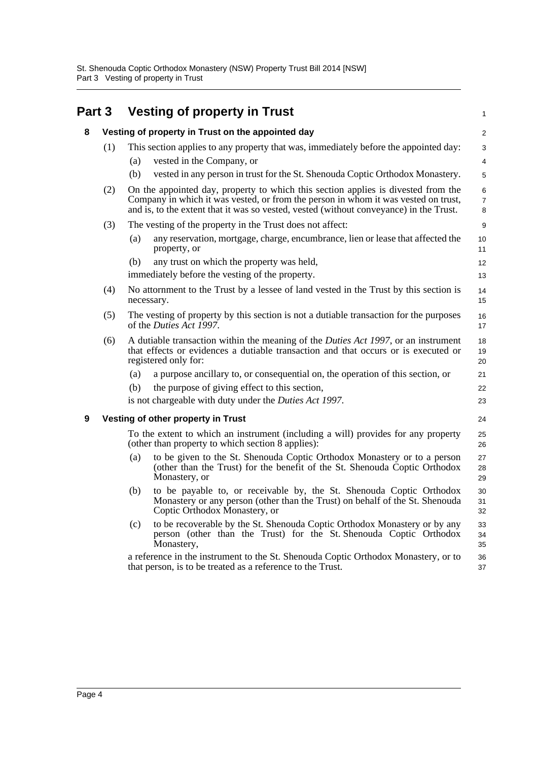<span id="page-8-2"></span><span id="page-8-1"></span><span id="page-8-0"></span>

| Part 3 |     | <b>Vesting of property in Trust</b>                                                                                                                                                                                                                               | $\mathbf{1}$             |
|--------|-----|-------------------------------------------------------------------------------------------------------------------------------------------------------------------------------------------------------------------------------------------------------------------|--------------------------|
| 8      |     | Vesting of property in Trust on the appointed day                                                                                                                                                                                                                 | 2                        |
|        | (1) | This section applies to any property that was, immediately before the appointed day:                                                                                                                                                                              | 3                        |
|        |     | vested in the Company, or<br>(a)                                                                                                                                                                                                                                  | $\overline{4}$           |
|        |     | vested in any person in trust for the St. Shenouda Coptic Orthodox Monastery.<br>(b)                                                                                                                                                                              | 5                        |
|        | (2) | On the appointed day, property to which this section applies is divested from the<br>Company in which it was vested, or from the person in whom it was vested on trust,<br>and is, to the extent that it was so vested, vested (without conveyance) in the Trust. | 6<br>$\overline{7}$<br>8 |
|        | (3) | The vesting of the property in the Trust does not affect:                                                                                                                                                                                                         | 9                        |
|        |     | any reservation, mortgage, charge, encumbrance, lien or lease that affected the<br>(a)<br>property, or                                                                                                                                                            | 10<br>11                 |
|        |     | any trust on which the property was held,<br>(b)                                                                                                                                                                                                                  | 12                       |
|        |     | immediately before the vesting of the property.                                                                                                                                                                                                                   | 13                       |
|        | (4) | No attornment to the Trust by a lessee of land vested in the Trust by this section is<br>necessary.                                                                                                                                                               | 14<br>15                 |
|        | (5) | The vesting of property by this section is not a dutiable transaction for the purposes<br>of the <i>Duties Act 1997</i> .                                                                                                                                         | 16<br>17                 |
|        | (6) | A dutiable transaction within the meaning of the <i>Duties Act 1997</i> , or an instrument<br>that effects or evidences a dutiable transaction and that occurs or is executed or<br>registered only for:                                                          | 18<br>19<br>20           |
|        |     | (a)<br>a purpose ancillary to, or consequential on, the operation of this section, or                                                                                                                                                                             | 21                       |
|        |     | the purpose of giving effect to this section,<br>(b)                                                                                                                                                                                                              | 22                       |
|        |     | is not chargeable with duty under the Duties Act 1997.                                                                                                                                                                                                            | 23                       |
| 9      |     | Vesting of other property in Trust                                                                                                                                                                                                                                | 24                       |
|        |     | To the extent to which an instrument (including a will) provides for any property<br>(other than property to which section 8 applies):                                                                                                                            | 25<br>26                 |
|        |     | to be given to the St. Shenouda Coptic Orthodox Monastery or to a person<br>(a)<br>(other than the Trust) for the benefit of the St. Shenouda Coptic Orthodox<br>Monastery, or                                                                                    | 27<br>28<br>29           |
|        |     | to be payable to, or receivable by, the St. Shenouda Coptic Orthodox<br>(b)<br>Monastery or any person (other than the Trust) on behalf of the St. Shenouda<br>Coptic Orthodox Monastery, or                                                                      | 30<br>31<br>32           |
|        |     | to be recoverable by the St. Shenouda Coptic Orthodox Monastery or by any<br>(c)<br>person (other than the Trust) for the St. Shenouda Coptic Orthodox<br>Monastery,                                                                                              | 33<br>34<br>35           |
|        |     | a reference in the instrument to the St. Shenouda Coptic Orthodox Monastery, or to<br>that person, is to be treated as a reference to the Trust.                                                                                                                  | 36<br>37                 |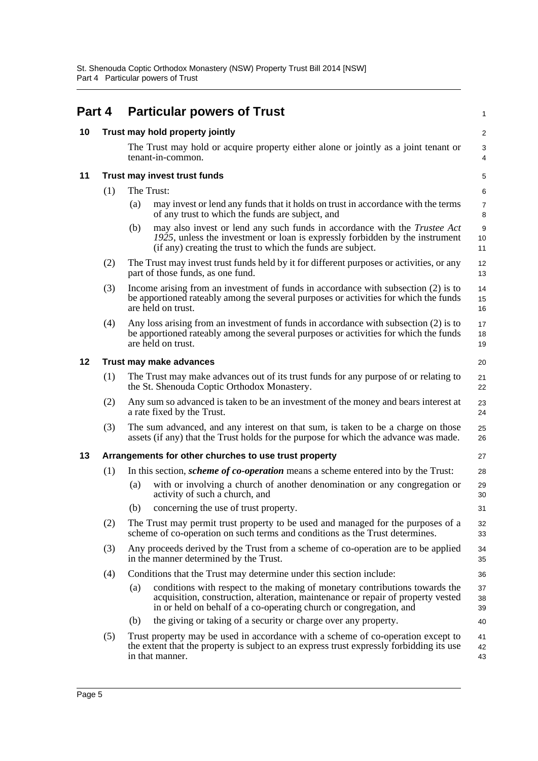<span id="page-9-4"></span><span id="page-9-3"></span><span id="page-9-2"></span><span id="page-9-1"></span><span id="page-9-0"></span>

| Part 4 |                               |            | <b>Particular powers of Trust</b>                                                                                                                                                                                                    | 1                       |  |  |
|--------|-------------------------------|------------|--------------------------------------------------------------------------------------------------------------------------------------------------------------------------------------------------------------------------------------|-------------------------|--|--|
| 10     |                               |            | Trust may hold property jointly                                                                                                                                                                                                      | $\overline{\mathbf{c}}$ |  |  |
|        |                               |            | The Trust may hold or acquire property either alone or jointly as a joint tenant or<br>tenant-in-common.                                                                                                                             | 3<br>4                  |  |  |
| 11     |                               |            | Trust may invest trust funds                                                                                                                                                                                                         | 5                       |  |  |
|        | (1)                           | The Trust: |                                                                                                                                                                                                                                      | 6                       |  |  |
|        |                               | (a)        | may invest or lend any funds that it holds on trust in accordance with the terms<br>of any trust to which the funds are subject, and                                                                                                 | 7<br>8                  |  |  |
|        |                               | (b)        | may also invest or lend any such funds in accordance with the <i>Trustee Act</i><br>1925, unless the investment or loan is expressly forbidden by the instrument<br>(if any) creating the trust to which the funds are subject.      | 9<br>10<br>11           |  |  |
|        | (2)                           |            | The Trust may invest trust funds held by it for different purposes or activities, or any<br>part of those funds, as one fund.                                                                                                        | 12<br>13                |  |  |
|        | (3)                           |            | Income arising from an investment of funds in accordance with subsection (2) is to<br>be apportioned rateably among the several purposes or activities for which the funds<br>are held on trust.                                     | 14<br>15<br>16          |  |  |
|        | (4)                           |            | Any loss arising from an investment of funds in accordance with subsection (2) is to<br>be apportioned rateably among the several purposes or activities for which the funds<br>are held on trust.                                   | 17<br>18<br>19          |  |  |
| 12     | Trust may make advances<br>20 |            |                                                                                                                                                                                                                                      |                         |  |  |
|        | (1)                           |            | The Trust may make advances out of its trust funds for any purpose of or relating to<br>the St. Shenouda Coptic Orthodox Monastery.                                                                                                  | 21<br>22                |  |  |
|        | (2)                           |            | Any sum so advanced is taken to be an investment of the money and bears interest at<br>a rate fixed by the Trust.                                                                                                                    | 23<br>24                |  |  |
|        | (3)                           |            | The sum advanced, and any interest on that sum, is taken to be a charge on those<br>assets (if any) that the Trust holds for the purpose for which the advance was made.                                                             | 25<br>26                |  |  |
| 13     |                               |            | Arrangements for other churches to use trust property                                                                                                                                                                                | 27                      |  |  |
|        | (1)                           |            | In this section, <i>scheme of co-operation</i> means a scheme entered into by the Trust:                                                                                                                                             | 28                      |  |  |
|        |                               | (a)        | with or involving a church of another denomination or any congregation or<br>activity of such a church, and                                                                                                                          | 29<br>30                |  |  |
|        |                               |            | (b) concerning the use of trust property.                                                                                                                                                                                            | 31                      |  |  |
|        | (2)                           |            | The Trust may permit trust property to be used and managed for the purposes of a<br>scheme of co-operation on such terms and conditions as the Trust determines.                                                                     | 32<br>33                |  |  |
|        | (3)                           |            | Any proceeds derived by the Trust from a scheme of co-operation are to be applied<br>in the manner determined by the Trust.                                                                                                          | 34<br>35                |  |  |
|        | (4)                           |            | Conditions that the Trust may determine under this section include:                                                                                                                                                                  | 36                      |  |  |
|        |                               | (a)        | conditions with respect to the making of monetary contributions towards the<br>acquisition, construction, alteration, maintenance or repair of property vested<br>in or held on behalf of a co-operating church or congregation, and | 37<br>38<br>39          |  |  |
|        |                               | (b)        | the giving or taking of a security or charge over any property.                                                                                                                                                                      | 40                      |  |  |
|        | (5)                           |            | Trust property may be used in accordance with a scheme of co-operation except to<br>the extent that the property is subject to an express trust expressly forbidding its use<br>in that manner.                                      | 41<br>42<br>43          |  |  |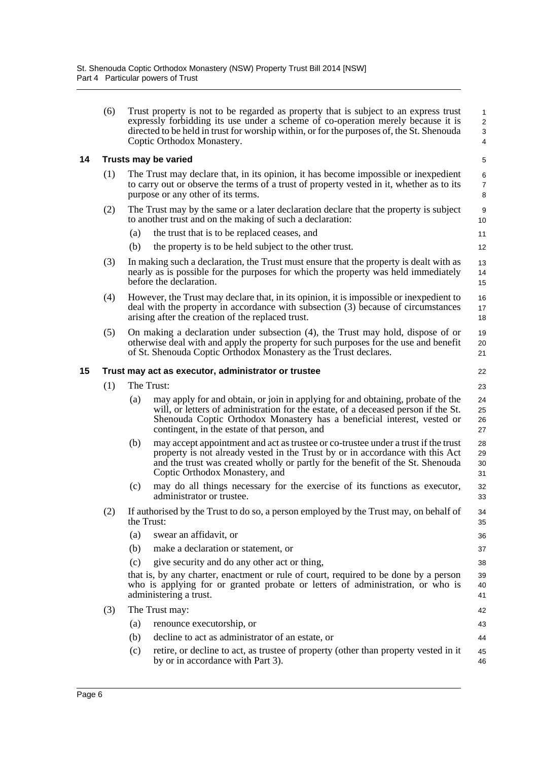<span id="page-10-1"></span><span id="page-10-0"></span>

|    | (6) | Trust property is not to be regarded as property that is subject to an express trust<br>expressly forbidding its use under a scheme of co-operation merely because it is<br>directed to be held in trust for worship within, or for the purposes of, the St. Shenouda<br>Coptic Orthodox Monastery.      | 1<br>$\overline{\mathbf{c}}$<br>3<br>4 |
|----|-----|----------------------------------------------------------------------------------------------------------------------------------------------------------------------------------------------------------------------------------------------------------------------------------------------------------|----------------------------------------|
| 14 |     | <b>Trusts may be varied</b>                                                                                                                                                                                                                                                                              | 5                                      |
|    | (1) | The Trust may declare that, in its opinion, it has become impossible or inexpedient<br>to carry out or observe the terms of a trust of property vested in it, whether as to its<br>purpose or any other of its terms.                                                                                    | 6<br>7<br>8                            |
|    | (2) | The Trust may by the same or a later declaration declare that the property is subject<br>to another trust and on the making of such a declaration:                                                                                                                                                       | 9<br>10                                |
|    |     | (a)<br>the trust that is to be replaced ceases, and                                                                                                                                                                                                                                                      | 11                                     |
|    |     | (b)<br>the property is to be held subject to the other trust.                                                                                                                                                                                                                                            | 12                                     |
|    | (3) | In making such a declaration, the Trust must ensure that the property is dealt with as<br>nearly as is possible for the purposes for which the property was held immediately<br>before the declaration.                                                                                                  | 13<br>14<br>15                         |
|    | (4) | However, the Trust may declare that, in its opinion, it is impossible or inexpedient to<br>deal with the property in accordance with subsection (3) because of circumstances<br>arising after the creation of the replaced trust.                                                                        | 16<br>17<br>18                         |
|    | (5) | On making a declaration under subsection (4), the Trust may hold, dispose of or<br>otherwise deal with and apply the property for such purposes for the use and benefit<br>of St. Shenouda Coptic Orthodox Monastery as the Trust declares.                                                              | 19<br>20<br>21                         |
| 15 |     | Trust may act as executor, administrator or trustee                                                                                                                                                                                                                                                      | 22                                     |
|    | (1) | The Trust:                                                                                                                                                                                                                                                                                               | 23                                     |
|    |     | may apply for and obtain, or join in applying for and obtaining, probate of the<br>(a)<br>will, or letters of administration for the estate, of a deceased person if the St.<br>Shenouda Coptic Orthodox Monastery has a beneficial interest, vested or<br>contingent, in the estate of that person, and | 24<br>25<br>26<br>27                   |
|    |     | (b)<br>may accept appointment and act as trustee or co-trustee under a trust if the trust<br>property is not already vested in the Trust by or in accordance with this Act<br>and the trust was created wholly or partly for the benefit of the St. Shenouda<br>Coptic Orthodox Monastery, and           | 28<br>29<br>30<br>31                   |
|    |     | (c)<br>may do all things necessary for the exercise of its functions as executor,<br>administrator or trustee.                                                                                                                                                                                           | 32<br>33                               |
|    | (2) | If authorised by the Trust to do so, a person employed by the Trust may, on behalf of<br>the Trust:                                                                                                                                                                                                      | 34<br>35                               |
|    |     | swear an affidavit, or<br>(a)                                                                                                                                                                                                                                                                            | 36                                     |
|    |     | make a declaration or statement, or<br>(b)                                                                                                                                                                                                                                                               | 37                                     |
|    |     | give security and do any other act or thing,<br>(c)                                                                                                                                                                                                                                                      | 38                                     |
|    |     | that is, by any charter, enactment or rule of court, required to be done by a person<br>who is applying for or granted probate or letters of administration, or who is<br>administering a trust.                                                                                                         | 39<br>40<br>41                         |
|    | (3) | The Trust may:                                                                                                                                                                                                                                                                                           | 42                                     |
|    |     | renounce executorship, or<br>(a)                                                                                                                                                                                                                                                                         | 43                                     |
|    |     | decline to act as administrator of an estate, or<br>(b)                                                                                                                                                                                                                                                  | 44                                     |
|    |     | retire, or decline to act, as trustee of property (other than property vested in it<br>(c)                                                                                                                                                                                                               | 45                                     |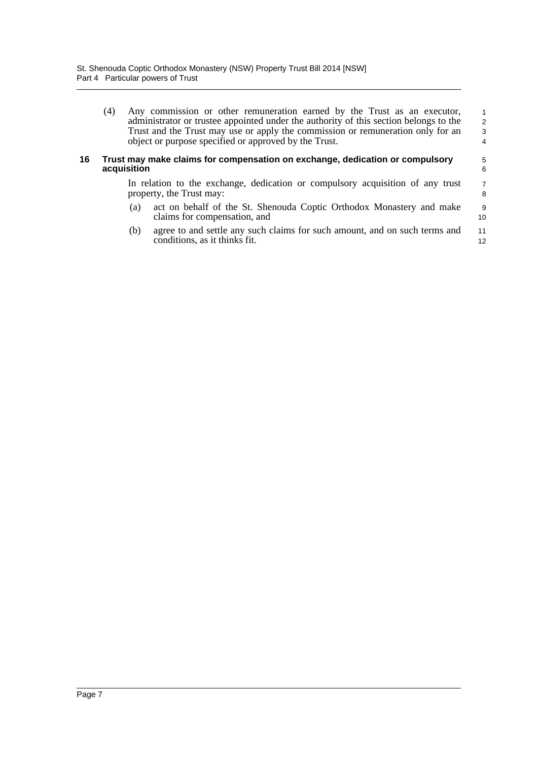| (4) | Any commission or other remuneration earned by the Trust as an executor,              | $\overline{1}$ |
|-----|---------------------------------------------------------------------------------------|----------------|
|     | administrator or trustee appointed under the authority of this section belongs to the | -2             |
|     | Trust and the Trust may use or apply the commission or remuneration only for an       | $\mathbf{3}$   |
|     | object or purpose specified or approved by the Trust.                                 | 4              |

#### <span id="page-11-0"></span>**16 Trust may make claims for compensation on exchange, dedication or compulsory acquisition**

In relation to the exchange, dedication or compulsory acquisition of any trust property, the Trust may: 7 8

5 6

9 10

- (a) act on behalf of the St. Shenouda Coptic Orthodox Monastery and make claims for compensation, and
- (b) agree to and settle any such claims for such amount, and on such terms and conditions, as it thinks fit. 11 12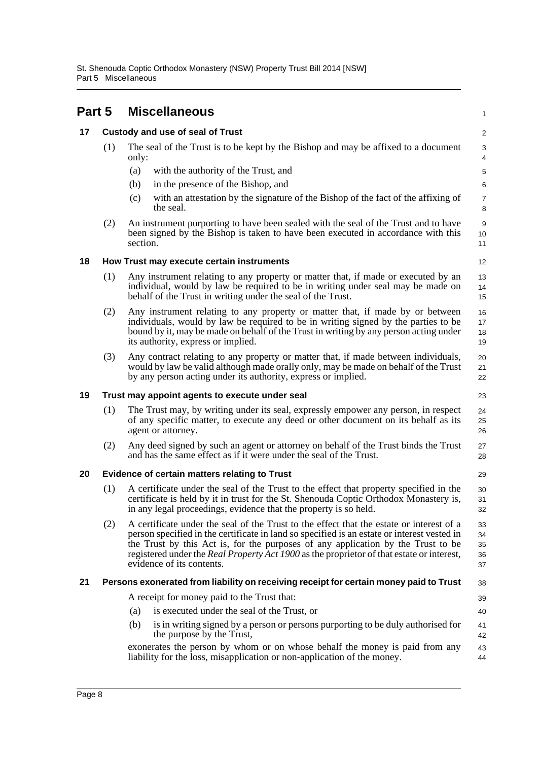<span id="page-12-5"></span><span id="page-12-4"></span><span id="page-12-3"></span><span id="page-12-2"></span><span id="page-12-1"></span><span id="page-12-0"></span>

| Part 5 |     |          | <b>Miscellaneous</b>                                                                                                                                                                                                                                                                                                                                                                                         | 1                          |
|--------|-----|----------|--------------------------------------------------------------------------------------------------------------------------------------------------------------------------------------------------------------------------------------------------------------------------------------------------------------------------------------------------------------------------------------------------------------|----------------------------|
| 17     |     |          | <b>Custody and use of seal of Trust</b>                                                                                                                                                                                                                                                                                                                                                                      | $\overline{c}$             |
|        | (1) | only:    | The seal of the Trust is to be kept by the Bishop and may be affixed to a document                                                                                                                                                                                                                                                                                                                           | 3<br>4                     |
|        |     | (a)      | with the authority of the Trust, and                                                                                                                                                                                                                                                                                                                                                                         | $\mathbf 5$                |
|        |     | (b)      | in the presence of the Bishop, and                                                                                                                                                                                                                                                                                                                                                                           | 6                          |
|        |     | (c)      | with an attestation by the signature of the Bishop of the fact of the affixing of<br>the seal.                                                                                                                                                                                                                                                                                                               | $\boldsymbol{7}$<br>8      |
|        | (2) | section. | An instrument purporting to have been sealed with the seal of the Trust and to have<br>been signed by the Bishop is taken to have been executed in accordance with this                                                                                                                                                                                                                                      | 9<br>10<br>11              |
| 18     |     |          | How Trust may execute certain instruments                                                                                                                                                                                                                                                                                                                                                                    | 12                         |
|        | (1) |          | Any instrument relating to any property or matter that, if made or executed by an<br>individual, would by law be required to be in writing under seal may be made on<br>behalf of the Trust in writing under the seal of the Trust.                                                                                                                                                                          | 13<br>14<br>15             |
|        | (2) |          | Any instrument relating to any property or matter that, if made by or between<br>individuals, would by law be required to be in writing signed by the parties to be<br>bound by it, may be made on behalf of the Trust in writing by any person acting under<br>its authority, express or implied.                                                                                                           | 16<br>17<br>18<br>19       |
|        | (3) |          | Any contract relating to any property or matter that, if made between individuals,<br>would by law be valid although made orally only, may be made on behalf of the Trust<br>by any person acting under its authority, express or implied.                                                                                                                                                                   | 20<br>21<br>22             |
| 19     |     |          | Trust may appoint agents to execute under seal                                                                                                                                                                                                                                                                                                                                                               | 23                         |
|        | (1) |          | The Trust may, by writing under its seal, expressly empower any person, in respect<br>of any specific matter, to execute any deed or other document on its behalf as its<br>agent or attorney.                                                                                                                                                                                                               | 24<br>25<br>26             |
|        | (2) |          | Any deed signed by such an agent or attorney on behalf of the Trust binds the Trust<br>and has the same effect as if it were under the seal of the Trust.                                                                                                                                                                                                                                                    | 27<br>28                   |
| 20     |     |          | <b>Evidence of certain matters relating to Trust</b>                                                                                                                                                                                                                                                                                                                                                         | 29                         |
|        | (1) |          | A certificate under the seal of the Trust to the effect that property specified in the<br>certificate is held by it in trust for the St. Shenouda Coptic Orthodox Monastery is,<br>in any legal proceedings, evidence that the property is so held.                                                                                                                                                          | 30<br>31<br>32             |
|        | (2) |          | A certificate under the seal of the Trust to the effect that the estate or interest of a<br>person specified in the certificate in land so specified is an estate or interest vested in<br>the Trust by this Act is, for the purposes of any application by the Trust to be<br>registered under the <i>Real Property Act 1900</i> as the proprietor of that estate or interest,<br>evidence of its contents. | 33<br>34<br>35<br>36<br>37 |
| 21     |     |          | Persons exonerated from liability on receiving receipt for certain money paid to Trust                                                                                                                                                                                                                                                                                                                       | 38                         |
|        |     |          | A receipt for money paid to the Trust that:                                                                                                                                                                                                                                                                                                                                                                  | 39                         |
|        |     | (a)      | is executed under the seal of the Trust, or                                                                                                                                                                                                                                                                                                                                                                  | 40                         |
|        |     | (b)      | is in writing signed by a person or persons purporting to be duly authorised for<br>the purpose by the Trust,                                                                                                                                                                                                                                                                                                | 41<br>42                   |
|        |     |          | exonerates the person by whom or on whose behalf the money is paid from any<br>liability for the loss, misapplication or non-application of the money.                                                                                                                                                                                                                                                       | 43<br>44                   |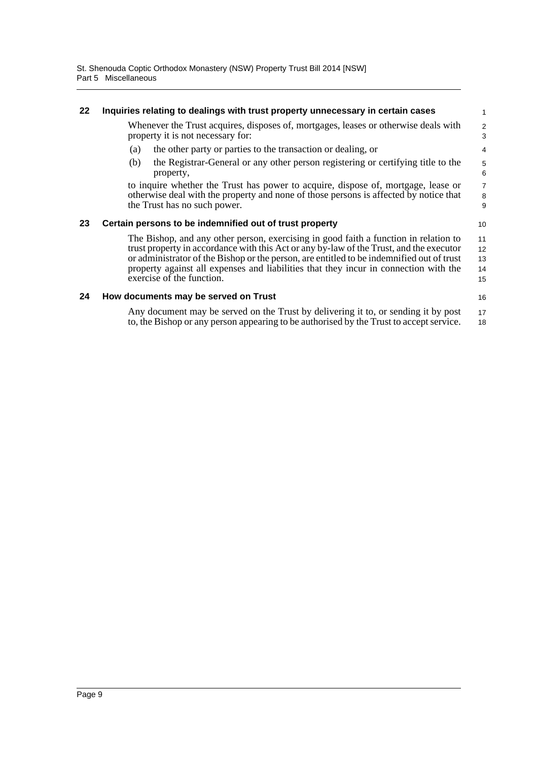<span id="page-13-2"></span><span id="page-13-1"></span><span id="page-13-0"></span>

| 22 | Inquiries relating to dealings with trust property unnecessary in certain cases                                                                                                                                                                                                                                                                                                                   | $\mathbf{1}$               |
|----|---------------------------------------------------------------------------------------------------------------------------------------------------------------------------------------------------------------------------------------------------------------------------------------------------------------------------------------------------------------------------------------------------|----------------------------|
|    | Whenever the Trust acquires, disposes of, mortgages, leases or otherwise deals with<br>property it is not necessary for:                                                                                                                                                                                                                                                                          | $\overline{2}$<br>3        |
|    | the other party or parties to the transaction or dealing, or<br>(a)                                                                                                                                                                                                                                                                                                                               | 4                          |
|    | the Registrar-General or any other person registering or certifying title to the<br>(b)<br>property,                                                                                                                                                                                                                                                                                              | $\mathbf 5$<br>6           |
|    | to inquire whether the Trust has power to acquire, dispose of, mortgage, lease or<br>otherwise deal with the property and none of those persons is affected by notice that<br>the Trust has no such power.                                                                                                                                                                                        | $\overline{7}$<br>8<br>9   |
| 23 | Certain persons to be indemnified out of trust property                                                                                                                                                                                                                                                                                                                                           | 10                         |
|    | The Bishop, and any other person, exercising in good faith a function in relation to<br>trust property in accordance with this Act or any by-law of the Trust, and the executor<br>or administrator of the Bishop or the person, are entitled to be indemnified out of trust<br>property against all expenses and liabilities that they incur in connection with the<br>exercise of the function. | 11<br>12<br>13<br>14<br>15 |
|    |                                                                                                                                                                                                                                                                                                                                                                                                   |                            |
| 24 | How documents may be served on Trust                                                                                                                                                                                                                                                                                                                                                              | 16                         |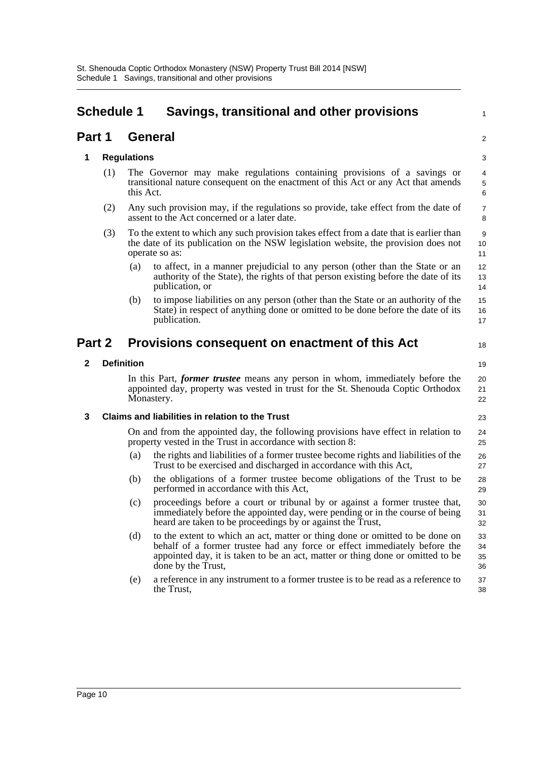### <span id="page-14-0"></span>**Schedule 1 Savings, transitional and other provisions**

#### **Part 1 General**

#### **1 Regulations**

(1) The Governor may make regulations containing provisions of a savings or transitional nature consequent on the enactment of this Act or any Act that amends this Act.

1

 $\mathfrak{p}$ 

18

- (2) Any such provision may, if the regulations so provide, take effect from the date of assent to the Act concerned or a later date.
- (3) To the extent to which any such provision takes effect from a date that is earlier than the date of its publication on the NSW legislation website, the provision does not operate so as:
	- (a) to affect, in a manner prejudicial to any person (other than the State or an authority of the State), the rights of that person existing before the date of its publication, or
	- (b) to impose liabilities on any person (other than the State or an authority of the State) in respect of anything done or omitted to be done before the date of its publication.

#### **Part 2 Provisions consequent on enactment of this Act**

#### **2 Definition**

In this Part, *former trustee* means any person in whom, immediately before the appointed day, property was vested in trust for the St. Shenouda Coptic Orthodox Monastery.

#### **3 Claims and liabilities in relation to the Trust**

On and from the appointed day, the following provisions have effect in relation to property vested in the Trust in accordance with section 8:

- (a) the rights and liabilities of a former trustee become rights and liabilities of the Trust to be exercised and discharged in accordance with this Act,
- (b) the obligations of a former trustee become obligations of the Trust to be performed in accordance with this Act,
- (c) proceedings before a court or tribunal by or against a former trustee that, immediately before the appointed day, were pending or in the course of being heard are taken to be proceedings by or against the Trust, 30 31 32
- (d) to the extent to which an act, matter or thing done or omitted to be done on behalf of a former trustee had any force or effect immediately before the appointed day, it is taken to be an act, matter or thing done or omitted to be done by the Trust, 33 34 35 36
- (e) a reference in any instrument to a former trustee is to be read as a reference to the Trust, 37 38